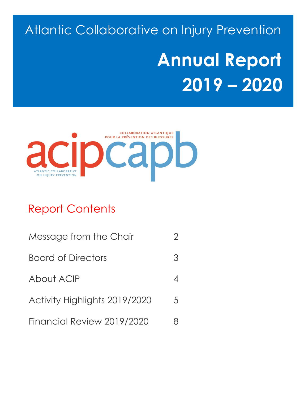Atlantic Collaborative on Injury Prevention **2019 – 2020 Annual Report**



## Report Contents

| Message from the Chair        | $\mathcal{P}$              |
|-------------------------------|----------------------------|
| <b>Board of Directors</b>     | 3                          |
| About ACIP                    | $\boldsymbol{\mathcal{A}}$ |
| Activity Highlights 2019/2020 | 5                          |
| Financial Review 2019/2020    |                            |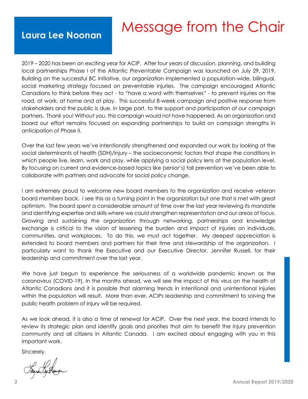## Message from the Chair

**Laura Lee Noonan**

2019 – 2020 has been an exciting year for ACIP. After four years of discussion, planning, and building local partnerships Phase I of the Atlantic *Preventable* Campaign was launched on July 29, 2019. Building on the successful BC initiative, our organization implemented a population-wide, bilingual, social marketing strategy focused on preventable injuries. The campaign encouraged Atlantic Canadians to think before they act - to "have a word with themselves" - to prevent injuries on the road, at work, at home and at play. This successful 8-week campaign and positive response from stakeholders and the public is due, in large part, to the support and participation of our campaign partners. Thank you! Without you, this campaign would not have happened. As an organization and board our effort remains focused on expanding partnerships to build on campaign strengths in anticipation of Phase II.

Over the last few years we've intentionally strengthened and expanded our work by looking at the social determinants of health (SDH)/injury – the socioeconomic factors that shape the conditions in which people live, learn, work and play, while applying a social policy lens at the population level. By focusing on current and evidence-based topics like (senior's) fall prevention we've been able to collaborate with partners and advocate for social policy change.

I am extremely proud to welcome new board members to the organization and receive veteran board members back. I see this as a turning point in the organization but one that is met with great optimism. The board spent a considerable amount of time over the last year reviewing its mandate and identifying expertise and skills where we could strengthen representation and our areas of focus. Growing and sustaining the organization through networking, partnerships and knowledge exchange is critical to the vision of lessening the burden and impact of injuries on individuals, communities, and workplaces. To do this, we must act together. My deepest appreciation is extended to board members and partners for their time and stewardship of the organization. I particularly want to thank the Executive and our Executive Director, Jennifer Russell, for their leadership and commitment over the last year.

We have just begun to experience the seriousness of a worldwide pandemic known as the coronavirus (COVID-19). In the months ahead, we will see the impact of this virus on the health of Atlantic Canadians and it is possible that alarming trends in intentional and unintentional injuries within the population will result. More than ever, ACIPs leadership and commitment to solving the public health problem of injury will be required.

As we look ahead, it is also a time of renewal for ACIP. Over the next year, the board intends to review its strategic plan and identify goals and priorities that aim to benefit the injury prevention community and all citizens in Atlantic Canada. I am excited about engaging with you in this important work.

Sincerely,

Laus Selvanar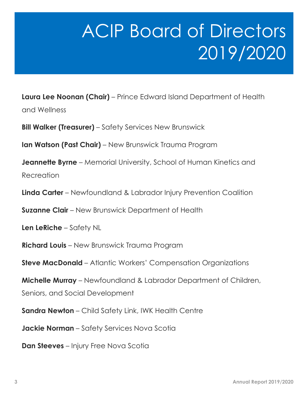## ACIP Board of Directors 2019/2020

**Laura Lee Noonan (Chair)** – Prince Edward Island Department of Health and Wellness

**Bill Walker (Treasurer)** – Safety Services New Brunswick

**Ian Watson (Past Chair)** – New Brunswick Trauma Program

**Jeannette Byrne** – Memorial University, School of Human Kinetics and Recreation

**Linda Carter** – Newfoundland & Labrador Injury Prevention Coalition

**Suzanne Clair** – New Brunswick Department of Health

**Len LeRiche** – Safety NL

**Richard Louis** – New Brunswick Trauma Program

**Steve MacDonald** – Atlantic Workers' Compensation Organizations

**Michelle Murray** – Newfoundland & Labrador Department of Children, Seniors, and Social Development

**Sandra Newton** – Child Safety Link, IWK Health Centre

**Jackie Norman** – Safety Services Nova Scotia

**Dan Steeves** – Injury Free Nova Scotia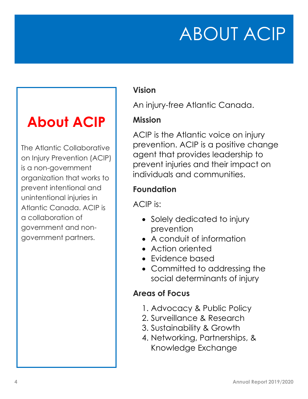## ABOUT ACIP

## **About ACIP**

The Atlantic Collaborative on Injury Prevention (ACIP) is a non-government organization that works to prevent intentional and unintentional injuries in Atlantic Canada. ACIP is a collaboration of government and nongovernment partners.

## **Vision**

An injury-free Atlantic Canada.

## **Mission**

ACIP is the Atlantic voice on injury prevention. ACIP is a positive change agent that provides leadership to prevent injuries and their impact on individuals and communities.

## **Foundation**

ACIP is:

- Solely dedicated to injury prevention
- A conduit of information
- Action oriented
- Evidence based
- Committed to addressing the social determinants of injury

## **Areas of Focus**

- 1. Advocacy & Public Policy
- 2. Surveillance & Research
- 3. Sustainability & Growth
- 4. Networking, Partnerships, & Knowledge Exchange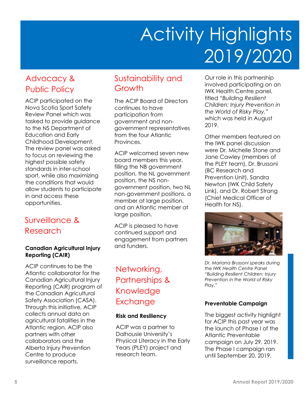# Activity Highlights 2019/2020

## Advocacy & Public Policy

ACIP participated on the Nova Scotia Sport Safety Review Panel which was tasked to provide guidance to the NS Department of Education and Early Childhood Development. The review panel was asked to focus on reviewing the highest possible safety standards in inter-school sport, while also maximizing the conditions that would allow students to participate in and access these opportunities.

## Surveillance & Research

## **Canadian Agricultural Injury Reporting (CAIR)**

ACIP continues to be the Atlantic collaborator for the Canadian Agricultural Injury Reporting (CAIR) program of the Canadian Agricultural Safety Association (CASA). Through this initiative, ACIP collects annual data on agricultural fatalities in the Atlantic region. ACIP also partners with other collaborators and the Alberta Injury Prevention Centre to produce surveillance reports.

## Sustainability and Growth

The ACIP Board of Directors continues to have participation from government and nongovernment representatives from the four Atlantic Provinces.

ACIP welcomed seven new board members this year, filling the NB government position, the NL government position, the NS nongovernment position, two NL non-government positions, a member at large position, and an Atlantic member at large position.

ACIP is pleased to have continued support and engagement from partners and funders.

## Networking, Partnerships & Knowledge **Exchange**

## **Risk and Resiliency**

ACIP was a partner to Dalhousie University's Physical Literacy in the Early Years (PLEY) project and research team.

Our role in this partnership involved participating on an IWK Health Centre panel, titled "*Building Resilient Children: Injury Prevention in the World of Risky Play,*" which was held in August 2019.

Other members featured on the IWK panel discussion were Dr. Michelle Stone and Jane Cawley (members of the PLEY team), Dr. Brussoni (BC Research and Prevention Unit), Sandra Newton (IWK Child Safety Link), and Dr. Robert Strang (Chief Medical Officer of Health for NS).



*Dr. Mariana Brussoni speaks during the IWK Health Centre Panel "Building Resilient Children: Injury Prevention in the World of Risky Play."*

## **Preventable Campaign**

The biggest activity highlight for ACIP this past year was the launch of Phase I of the Atlantic Preventable campaign on July 29, 2019. The Phase I campaign ran until September 20, 2019.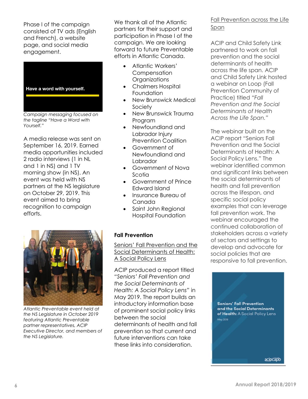Phase I of the campaign consisted of TV ads (English and French), a website page, and social media engagement.



*Campaign messaging focused on the tagline "Have a Word with Yourself."*

A media release was sent on September 16, 2019. Earned media opportunities included 2 radio interviews (1 in NL and 1 in NS) and 1 TV morning show (in NS). An event was held with NS partners at the NS legislature on October 29, 2019. This event aimed to bring recognition to campaign efforts.



*Atlantic Preventable event held at the NS Legislature in October 2019 featuring Atlantic Preventable partner representatives, ACIP Executive Director, and members of the NS Legislature.*

We thank all of the Atlantic partners for their support and participation in Phase I of the campaign. We are looking forward to future Preventable efforts in Atlantic Canada.

- Atlantic Workers' Compensation **Organizations**
- Chalmers Hospital Foundation
- New Brunswick Medical **Society**
- New Brunswick Trauma Program
- Newfoundland and Labrador Injury Prevention Coalition
- Government of Newfoundland and Labrador
- Government of Nova Scotia
- Government of Prince Edward Island
- Insurance Bureau of Canada
- Saint John Regional Hospital Foundation

## **Fall Prevention**

Seniors' Fall Prevention and the Social Determinants of Health: A Social Policy Lens

ACIP produced a report titled *"Seniors' Fall Prevention and the Social Determinants of Health: A Social Policy Lens"* in May 2019. The report builds an introductory information base of prominent social policy links between the social determinants of health and fall prevention so that current and future interventions can take these links into consideration.

## Fall Prevention across the Life Span

ACIP and Child Safety Link partnered to work on fall prevention and the social determinants of health across the life span. ACIP and Child Safety Link hosted a webinar on Loop (Fall Prevention Community of Practice) titled *"Fall Prevention and the Social Determinants of Health Across the Life Span."*

The webinar built on the ACIP report "Seniors Fall Prevention and the Social Determinants of Health: A Social Policy Lens." The webinar identified common and significant links between the social determinants of health and fall prevention across the lifespan, and specific social policy examples that can leverage fall prevention work. The webinar encouraged the continued collaboration of stakeholders across a variety of sectors and settings to develop and advocate for social policies that are responsive to fall prevention.

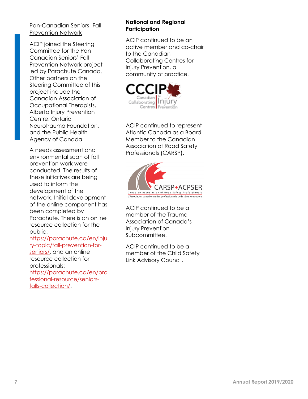### Pan-Canadian Seniors' Fall Prevention Network

ACIP joined the Steering Committee for the Pan-Canadian Seniors' Fall Prevention Network project led by Parachute Canada. Other partners on the Steering Committee of this project include the Canadian Association of Occupational Therapists, Alberta Injury Prevention Centre, Ontario Neurotrauma Foundation, and the Public Health Agency of Canada.

A needs assessment and environmental scan of fall prevention work were conducted. The results of these initiatives are being used to inform the development of the network. Initial development of the online component has been completed by Parachute. There is an online resource collection for the public:

[https://parachute.ca/en/inju](https://parachute.ca/en/injury-topic/fall-prevention-for-seniors/) [ry-topic/fall-prevention-for](https://parachute.ca/en/injury-topic/fall-prevention-for-seniors/)[seniors/,](https://parachute.ca/en/injury-topic/fall-prevention-for-seniors/) and an online resource collection for professionals: [https://parachute.ca/en/pro](https://parachute.ca/en/professional-resource/seniors-falls-collection/) [fessional-resource/seniors](https://parachute.ca/en/professional-resource/seniors-falls-collection/)[falls-collection/.](https://parachute.ca/en/professional-resource/seniors-falls-collection/)

## **National and Regional Participation**

ACIP continued to be an active member and co-chair to the Canadian Collaborating Centres for Injury Prevention, a community of practice.



ACIP continued to represent Atlantic Canada as a Board Member to the Canadian Association of Road Safety Professionals (CARSP).



ACIP continued to be a member of the Trauma Association of Canada's Injury Prevention Subcommittee.

ACIP continued to be a member of the Child Safety Link Advisory Council.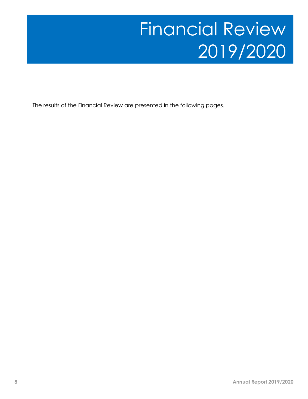## Financial Review 2019/2020

The results of the Financial Review are presented in the following pages.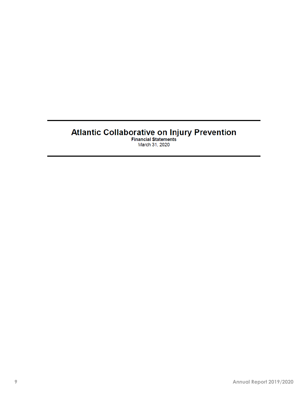# **Atlantic Collaborative on Injury Prevention**<br>Financial Statements<br>March 31, 2020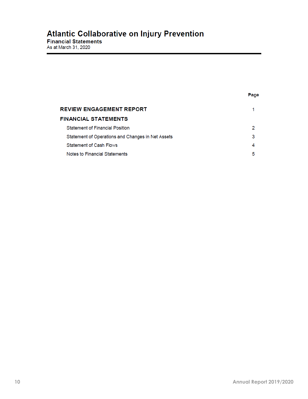## Atlantic Collaborative on Injury Prevention<br>Financial Statements

## As at March 31, 2020

| <b>REVIEW ENGAGEMENT REPORT</b> |                                                   |   |
|---------------------------------|---------------------------------------------------|---|
|                                 | <b>FINANCIAL STATEMENTS</b>                       |   |
|                                 | <b>Statement of Financial Position</b>            |   |
|                                 | Statement of Operations and Changes in Net Assets | 3 |
|                                 | <b>Statement of Cash Flows</b>                    |   |
|                                 | Notes to Financial Statements                     | 5 |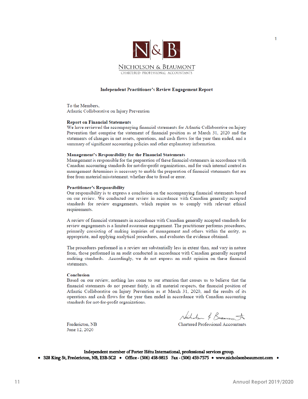

#### **Independent Practitioner's Review Engagement Report**

To the Members, Atlantic Collaborative on Injury Prevention

#### **Report on Financial Statements**

We have reviewed the accompanying financial statements for Atlantic Collaborative on Injury Prevention that comprise the statement of financial position as at March 31, 2020 and the statements of changes in net assets, operations, and cash flows for the year then ended, and a summary of significant accounting policies and other explanatory information.

#### Management's Responsibility for the Financial Statements

Management is responsible for the preparation of these financial statements in accordance with Canadian accounting standards for not-for-profit organizations, and for such internal control as management determines is necessary to enable the preparation of financial statements that are free from material misstatement, whether due to fraud or error.

#### **Practitioner's Responsibility**

Our responsibility is to express a conclusion on the accompanying financial statements based on our review. We conducted our review in accordance with Canadian generally accepted standards for review engagements, which require us to comply with relevant ethical requirements.

A review of financial statements in accordance with Canadian generally accepted standards for review engagements is a limited assurance engagement. The practitioner performs procedures, primarily consisting of making inquiries of management and others within the entity, as appropriate, and applying analytical procedures, and evaluates the evidence obtained.

The procedures performed in a review are substantially less in extent than, and vary in nature from, those performed in an audit conducted in accordance with Canadian generally accepted auditing standards. Accordingly, we do not express an audit opinion on these financial statements.

#### **Conclusion**

Based on our review, nothing has come to our attention that causes us to believe that the financial statements do not present fairly, in all material respects, the financial position of Atlantic Collaborative on Injury Prevention as at March 31, 2020, and the results of its operations and cash flows for the year then ended in accordance with Canadian accounting standards for not-for-profit organizations.

Nicholson & Beaumon A

Chartered Professional Accountants

Fredericton, NB June 12, 2020

Independent member of Porter Hétu International, professional services group. • 328 King St, Fredericton, NB, E3B-5C2 • Office - (506) 458-9815 Fax - (506) 459-7575 • www.nicholsonbeaumont.com •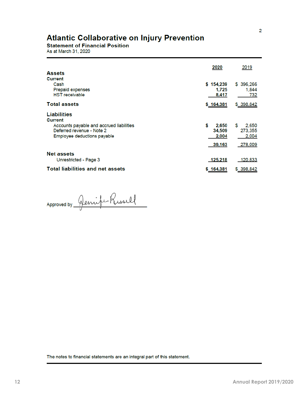## **Atlantic Collaborative on Injury Prevention**

**Statement of Financial Position** 

As at March 31, 2020

|                                                                                                                                              | 2020                                     | 2019                                       |
|----------------------------------------------------------------------------------------------------------------------------------------------|------------------------------------------|--------------------------------------------|
| <b>Assets</b><br><b>Current</b><br>Cash<br>Prepaid expenses<br><b>HST</b> receivable                                                         | \$154,239<br>1.725<br>8,417              | \$ 396,266<br>1,844<br>732                 |
| <b>Total assets</b>                                                                                                                          | \$164,381                                | \$ 398,842                                 |
| Liabilities<br><b>Current</b><br>Accounts payable and accrued liabilities<br>Deferred revenue - Note 2<br><b>Employee deductions payable</b> | \$<br>2,650<br>34,509<br>2,004<br>39,163 | \$<br>2,650<br>273,355<br>2,004<br>278,009 |
| <b>Net assets</b><br>Unrestricted - Page 3                                                                                                   | 125.218                                  | 120,833                                    |
| <b>Total liabilities and net assets</b>                                                                                                      | \$164,381                                | \$398,842                                  |

Approved by <u>Penife</u> Rissell

The notes to financial statements are an integral part of this statement.

 $\overline{2}$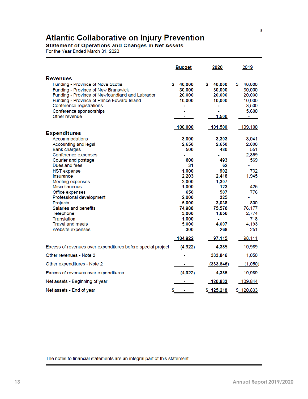# Atlantic Collaborative on Injury Prevention<br>Statement of Operations and Changes in Net Assets<br>For the Year Ended March 31, 2020

|                                                                                                                                                                                                                                                                                                                                                                                                   | <b>Budget</b>                                                                                                                                                     | 2020                                                                                                                                              | 2019                                                                                                                                           |
|---------------------------------------------------------------------------------------------------------------------------------------------------------------------------------------------------------------------------------------------------------------------------------------------------------------------------------------------------------------------------------------------------|-------------------------------------------------------------------------------------------------------------------------------------------------------------------|---------------------------------------------------------------------------------------------------------------------------------------------------|------------------------------------------------------------------------------------------------------------------------------------------------|
| <b>Revenues</b><br>Funding - Province of Nova Scotia<br>Funding - Province of New Brunswick<br>Funding - Province of Newfoundland and Labrador<br>Funding - Province of Prince Edward Island<br>Conference registrations<br>Conference sponsorships<br>Other revenue                                                                                                                              | \$<br>40,000<br>30,000<br>20,000<br>10,000                                                                                                                        | \$<br>40,000<br>30,000<br>20,000<br>10,000<br>1,500                                                                                               | 40,000<br>S<br>30,000<br>20,000<br>10,000<br>3,500<br>5,600<br>۰                                                                               |
| <b>Expenditures</b><br>Accommodations<br>Accounting and legal<br><b>Bank charges</b><br>Conference expenses<br>Courier and postage<br>Dues and fees<br><b>HST</b> expense<br>Insurance<br>Meeting expenses<br><b>Miscellaneous</b><br>Office expenses<br>Professional development<br>Projects<br>Salaries and benefits<br>Telephone<br>Translation<br><b>Travel and meals</b><br>Website expenses | 100,000<br>3,000<br>2,650<br>500<br>600<br>31<br>1,000<br>2,203<br>2,000<br>1,000<br>650<br>2,000<br>5,000<br>74,988<br>3,000<br>1,000<br>5,000<br>300<br>104,922 | 101,500<br>3,303<br>2,650<br>480<br>493<br>62<br>902<br>2,418<br>1,307<br>123<br>507<br>325<br>3,038<br>75,576<br>1,656<br>4,007<br>268<br>97,115 | 109,100<br>3,041<br>2,800<br>551<br>2.359<br>569<br>732<br>1,945<br>٠<br>425<br>776<br>800<br>76,177<br>2,774<br>718<br>4,193<br>251<br>98,111 |
| Excess of revenues over expenditures before special project                                                                                                                                                                                                                                                                                                                                       | (4,922)                                                                                                                                                           | 4,385                                                                                                                                             | 10,989                                                                                                                                         |
| Other revenues - Note 2                                                                                                                                                                                                                                                                                                                                                                           |                                                                                                                                                                   | 333,846                                                                                                                                           | 1,050                                                                                                                                          |
| Other expenditures - Note 2                                                                                                                                                                                                                                                                                                                                                                       |                                                                                                                                                                   | (333, 846)                                                                                                                                        | (1,050)                                                                                                                                        |
| Excess of revenues over expenditures                                                                                                                                                                                                                                                                                                                                                              | (4,922)                                                                                                                                                           | 4,385                                                                                                                                             | 10,989                                                                                                                                         |
| Net assets - Beginning of year                                                                                                                                                                                                                                                                                                                                                                    |                                                                                                                                                                   | 120,833                                                                                                                                           | 109,844                                                                                                                                        |
| Net assets - End of year                                                                                                                                                                                                                                                                                                                                                                          | \$                                                                                                                                                                | \$125,218                                                                                                                                         | \$120,833                                                                                                                                      |

The notes to financial statements are an integral part of this statement.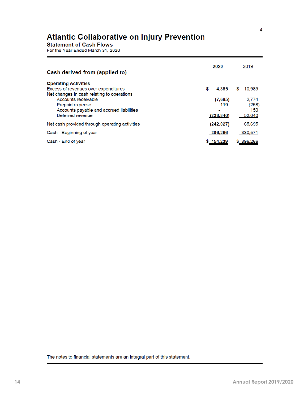## **Atlantic Collaborative on Injury Prevention**

**Statement of Cash Flows** 

For the Year Ended March 31, 2020

| Cash derived from (applied to)                                                       | 2020            | 2019           |
|--------------------------------------------------------------------------------------|-----------------|----------------|
| <b>Operating Activities</b><br>Excess of revenues over expenditures                  | \$<br>4.385     | 10.989<br>S    |
| Net changes in cash relating to operations<br>Accounts receivable<br>Prepaid expense | (7,685)<br>119  | 2.774<br>(258) |
| Accounts payable and accrued liabilities<br>Deferred revenue                         | ٠<br>(238, 846) | 150<br>52,040  |
| Net cash provided through operating activities                                       | (242, 027)      | 65,695         |
| Cash - Beginning of year                                                             | 396.266         | 330,571        |
| Cash - End of year                                                                   | \$154,239       | \$396,266      |

The notes to financial statements are an integral part of this statement.